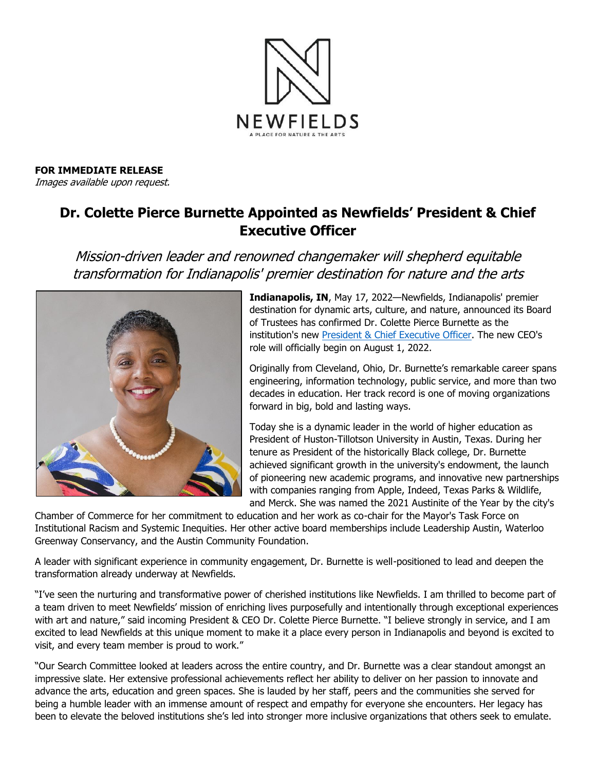

**FOR IMMEDIATE RELEASE** Images available upon request.

## **Dr. Colette Pierce Burnette Appointed as Newfields' President & Chief Executive Officer**

Mission-driven leader and renowned changemaker will shepherd equitable transformation for Indianapolis' premier destination for nature and the arts



**Indianapolis, IN**, May 17, 2022—Newfields, Indianapolis' premier destination for dynamic arts, culture, and nature, announced its Board of Trustees has confirmed Dr. Colette Pierce Burnette as the institution's new [President & Chief Executive Officer.](http://www.discovernewfields.org/President-CEO) The new CEO's role will officially begin on August 1, 2022.

Originally from Cleveland, Ohio, Dr. Burnette's remarkable career spans engineering, information technology, public service, and more than two decades in education. Her track record is one of moving organizations forward in big, bold and lasting ways.

Today she is a dynamic leader in the world of higher education as President of Huston-Tillotson University in Austin, Texas. During her tenure as President of the historically Black college, Dr. Burnette achieved significant growth in the university's endowment, the launch of pioneering new academic programs, and innovative new partnerships with companies ranging from Apple, Indeed, Texas Parks & Wildlife, and Merck. She was named the 2021 Austinite of the Year by the city's

Chamber of Commerce for her commitment to education and her work as co-chair for the Mayor's Task Force on Institutional Racism and Systemic Inequities. Her other active board memberships include Leadership Austin, Waterloo Greenway Conservancy, and the Austin Community Foundation.

A leader with significant experience in community engagement, Dr. Burnette is well-positioned to lead and deepen the transformation already underway at Newfields.

"I've seen the nurturing and transformative power of cherished institutions like Newfields. I am thrilled to become part of a team driven to meet Newfields' mission of enriching lives purposefully and intentionally through exceptional experiences with art and nature," said incoming President & CEO Dr. Colette Pierce Burnette. "I believe strongly in service, and I am excited to lead Newfields at this unique moment to make it a place every person in Indianapolis and beyond is excited to visit, and every team member is proud to work."

"Our Search Committee looked at leaders across the entire country, and Dr. Burnette was a clear standout amongst an impressive slate. Her extensive professional achievements reflect her ability to deliver on her passion to innovate and advance the arts, education and green spaces. She is lauded by her staff, peers and the communities she served for being a humble leader with an immense amount of respect and empathy for everyone she encounters. Her legacy has been to elevate the beloved institutions she's led into stronger more inclusive organizations that others seek to emulate.